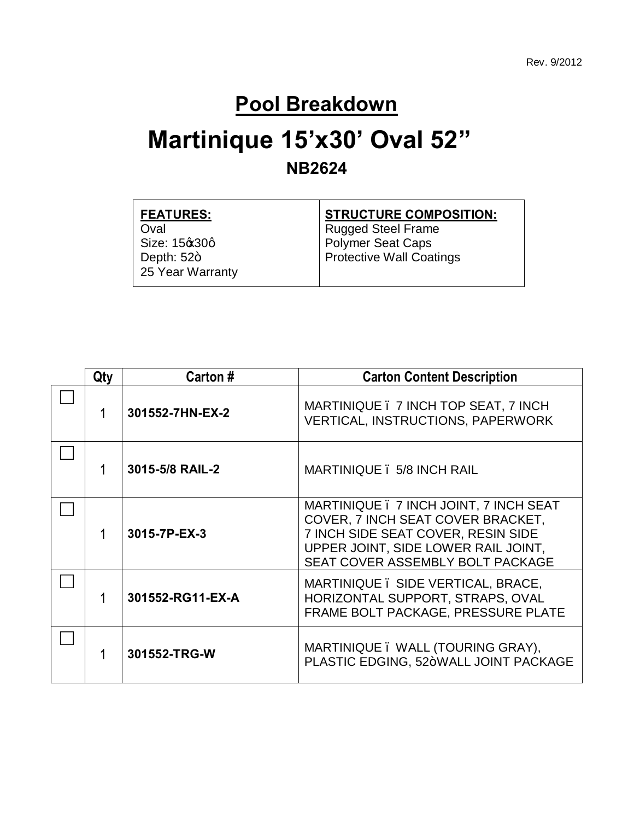#### **Pool Breakdown**

#### **Martinique 15'x30' Oval 52" NB2624**

| <b>FEATURES:</b> | <b>STRUCTURE COMPOSITION:</b> |
|------------------|-------------------------------|
| Oval             | <b>Rugged Steel Frame</b>     |
| Size: 15% 30q    | <b>Polymer Seat Caps</b>      |
| Depth: $52+$     | Protective Wall Coatings      |
| 25 Year Warranty |                               |
|                  |                               |

| Qty | Carton #                                                                                            | <b>Carton Content Description</b>                                                                                                                                                            |  |  |
|-----|-----------------------------------------------------------------------------------------------------|----------------------------------------------------------------------------------------------------------------------------------------------------------------------------------------------|--|--|
|     | MARTINIQUE . 7 INCH TOP SEAT, 7 INCH<br>301552-7HN-EX-2<br><b>VERTICAL, INSTRUCTIONS, PAPERWORK</b> |                                                                                                                                                                                              |  |  |
|     | 3015-5/8 RAIL-2                                                                                     | MARTINIQUE . 5/8 INCH RAIL                                                                                                                                                                   |  |  |
|     | 3015-7P-EX-3                                                                                        | MARTINIQUE . 7 INCH JOINT, 7 INCH SEAT<br>COVER, 7 INCH SEAT COVER BRACKET,<br>7 INCH SIDE SEAT COVER, RESIN SIDE<br>UPPER JOINT, SIDE LOWER RAIL JOINT,<br>SEAT COVER ASSEMBLY BOLT PACKAGE |  |  |
|     | 301552-RG11-EX-A                                                                                    | MARTINIQUE. SIDE VERTICAL, BRACE,<br>HORIZONTAL SUPPORT, STRAPS, OVAL<br>FRAME BOLT PACKAGE, PRESSURE PLATE                                                                                  |  |  |
|     | 301552-TRG-W                                                                                        | MARTINIQUE. WALL (TOURING GRAY),<br>PLASTIC EDGING, 52+WALL JOINT PACKAGE                                                                                                                    |  |  |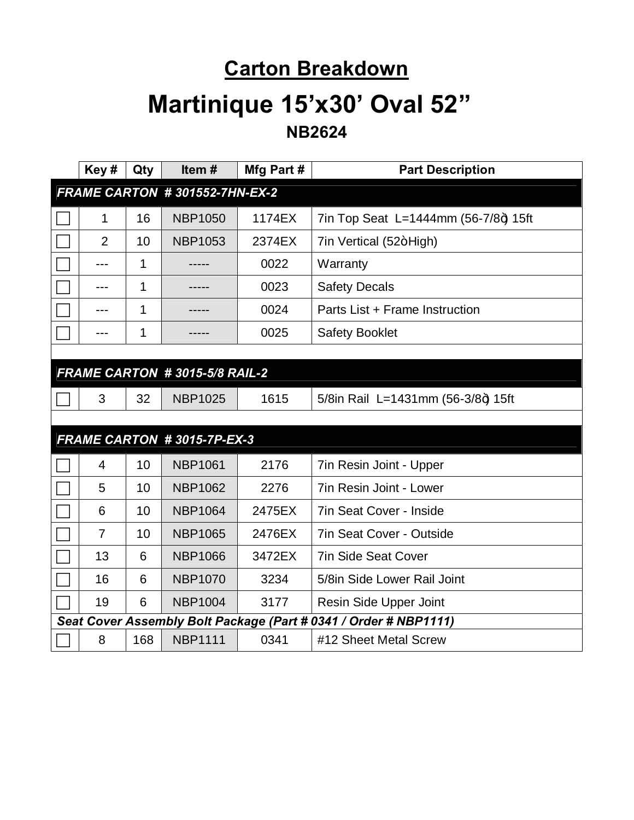#### **Carton Breakdown**

# **Martinique 15'x30' Oval 52"**

**NB2624**

| Key#                          | Qty | Item#                         | Mfg Part # | <b>Part Description</b>                                          |
|-------------------------------|-----|-------------------------------|------------|------------------------------------------------------------------|
| FRAME CARTON #301552-7HN-EX-2 |     |                               |            |                                                                  |
| 1                             | 16  | <b>NBP1050</b>                | 1174EX     | 7in Top Seat L=1444mm (56-7/8+) 15ft                             |
| $\overline{2}$                | 10  | <b>NBP1053</b>                | 2374EX     | 7in Vertical (52+High)                                           |
|                               | 1   |                               | 0022       | Warranty                                                         |
| ---                           | 1   |                               | 0023       | <b>Safety Decals</b>                                             |
| ---                           | 1   |                               | 0024       | Parts List + Frame Instruction                                   |
| ---                           | 1   | -----                         | 0025       | <b>Safety Booklet</b>                                            |
|                               |     |                               |            |                                                                  |
|                               |     | FRAME CARTON #3015-5/8 RAIL-2 |            |                                                                  |
| 3                             | 32  | <b>NBP1025</b>                | 1615       | 5/8in Rail L=1431mm (56-3/8+) 15ft                               |
|                               |     |                               |            |                                                                  |
|                               |     | FRAME CARTON #3015-7P-EX-3    |            |                                                                  |
| 4                             | 10  | <b>NBP1061</b>                | 2176       | 7in Resin Joint - Upper                                          |
| 5                             | 10  | <b>NBP1062</b>                | 2276       | 7in Resin Joint - Lower                                          |
| 6                             | 10  | <b>NBP1064</b>                | 2475EX     | <b>7in Seat Cover - Inside</b>                                   |
| $\overline{7}$                | 10  | <b>NBP1065</b>                | 2476EX     | 7in Seat Cover - Outside                                         |
| 13                            | 6   | <b>NBP1066</b>                | 3472EX     | <b>7in Side Seat Cover</b>                                       |
| 16                            | 6   | <b>NBP1070</b>                | 3234       | 5/8in Side Lower Rail Joint                                      |
| 19                            | 6   | <b>NBP1004</b>                | 3177       | Resin Side Upper Joint                                           |
|                               |     |                               |            | Seat Cover Assembly Bolt Package (Part # 0341 / Order # NBP1111) |
| 8                             | 168 | <b>NBP1111</b>                | 0341       | #12 Sheet Metal Screw                                            |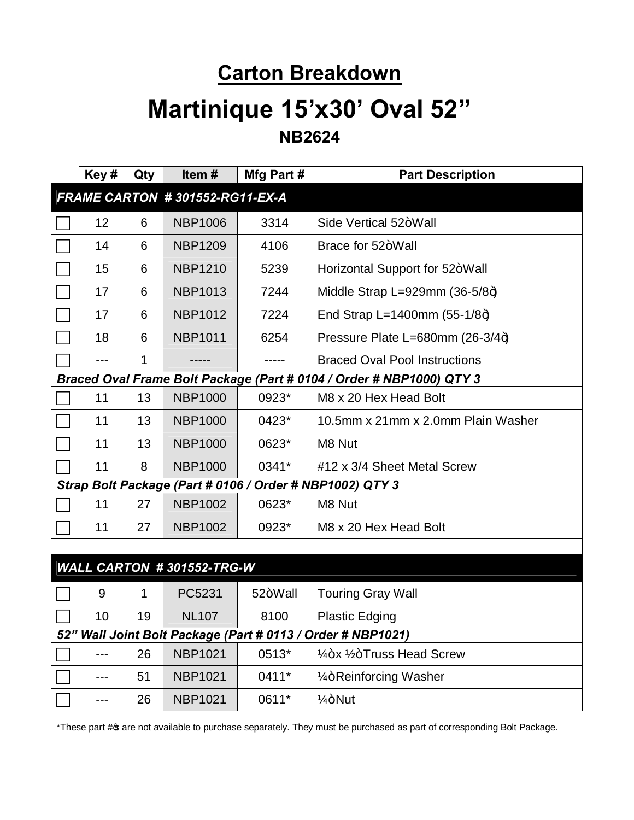#### **Carton Breakdown**

#### **Martinique 15'x30' Oval 52" NB2624**

|                                                                      | Key# | Qty | Item#                     | Mfg Part # | <b>Part Description</b>                                  |
|----------------------------------------------------------------------|------|-----|---------------------------|------------|----------------------------------------------------------|
| FRAME CARTON #301552-RG11-EX-A                                       |      |     |                           |            |                                                          |
|                                                                      | 12   | 6   | <b>NBP1006</b>            | 3314       | Side Vertical 52+Wall                                    |
|                                                                      | 14   | 6   | <b>NBP1209</b>            | 4106       | Brace for 52+Wall                                        |
|                                                                      | 15   | 6   | <b>NBP1210</b>            | 5239       | Horizontal Support for 52+Wall                           |
|                                                                      | 17   | 6   | <b>NBP1013</b>            | 7244       | Middle Strap L=929mm $(36-5/8+)$                         |
|                                                                      | 17   | 6   | <b>NBP1012</b>            | 7224       | End Strap L=1400mm $(55-1/8+)$                           |
|                                                                      | 18   | 6   | <b>NBP1011</b>            | 6254       | Pressure Plate L=680mm (26-3/4+)                         |
|                                                                      |      | 1   |                           |            | <b>Braced Oval Pool Instructions</b>                     |
| Braced Oval Frame Bolt Package (Part # 0104 / Order # NBP1000) QTY 3 |      |     |                           |            |                                                          |
|                                                                      | 11   | 13  | <b>NBP1000</b>            | 0923*      | M8 x 20 Hex Head Bolt                                    |
|                                                                      | 11   | 13  | <b>NBP1000</b>            | 0423*      | 10.5mm x 21mm x 2.0mm Plain Washer                       |
|                                                                      | 11   | 13  | <b>NBP1000</b>            | 0623*      | M8 Nut                                                   |
|                                                                      | 11   | 8   | <b>NBP1000</b>            | 0341*      | #12 x 3/4 Sheet Metal Screw                              |
|                                                                      |      |     |                           |            | Strap Bolt Package (Part # 0106 / Order # NBP1002) QTY 3 |
|                                                                      | 11   | 27  | <b>NBP1002</b>            | 0623*      | M8 Nut                                                   |
|                                                                      | 11   | 27  | <b>NBP1002</b>            | 0923*      | M8 x 20 Hex Head Bolt                                    |
|                                                                      |      |     |                           |            |                                                          |
|                                                                      |      |     | WALL CARTON #301552-TRG-W |            |                                                          |
|                                                                      | 9    | 1   | PC5231                    | 52+Wall    | <b>Touring Gray Wall</b>                                 |
|                                                                      | 10   | 19  | <b>NL107</b>              | 8100       | <b>Plastic Edging</b>                                    |
| 52" Wall Joint Bolt Package (Part # 0113 / Order # NBP1021)          |      |     |                           |            |                                                          |
|                                                                      | ---  | 26  | <b>NBP1021</b>            | 0513*      | 1/4+x 1/2+Truss Head Screw                               |
|                                                                      |      | 51  | <b>NBP1021</b>            | 0411*      | 1/ <sub>4</sub> +Reinforcing Washer                      |
|                                                                      | ---  | 26  | <b>NBP1021</b>            | 0611*      | $1/4 + N$ ut                                             |

\*These part # of available to purchase separately. They must be purchased as part of corresponding Bolt Package.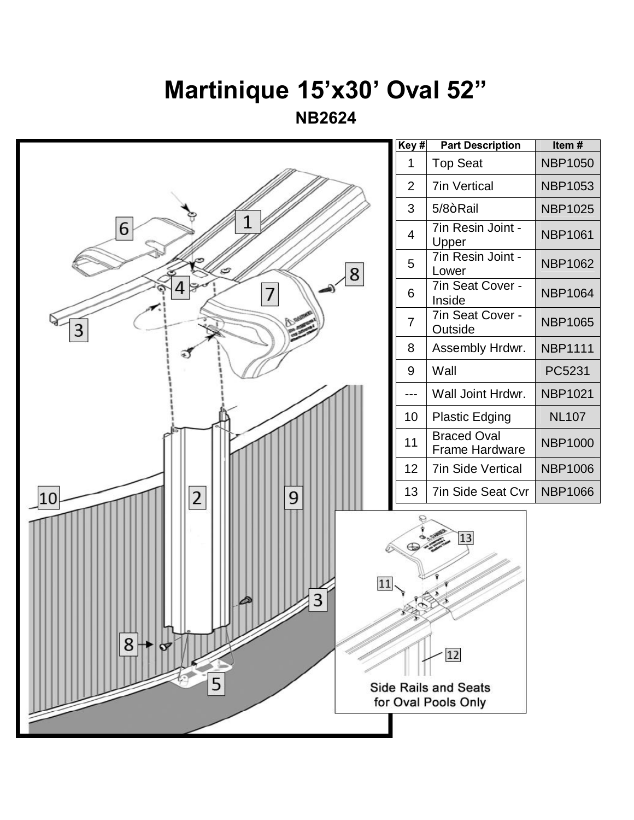## **Martinique 15'x30' Oval 52"**

**NB2624**